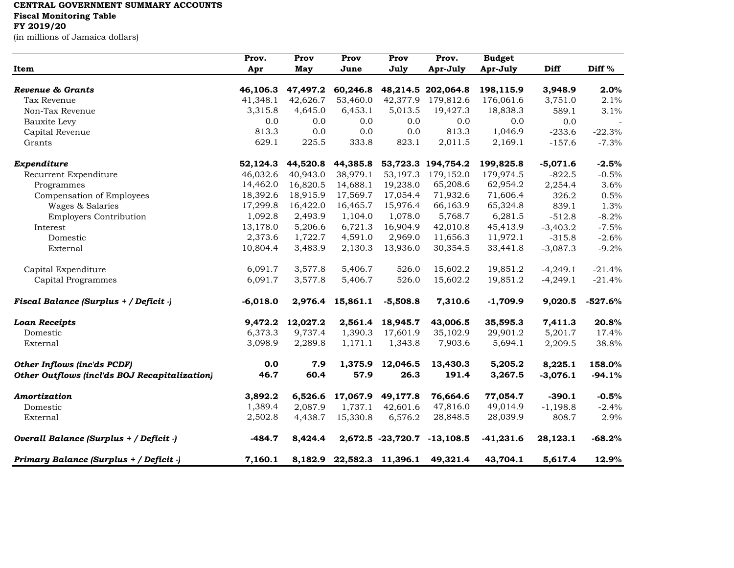## **CENTRAL GOVERNMENT SUMMARY ACCOUNTS**

**Fiscal Monitoring Table**

## **FY 2019/20**

(in millions of Jamaica dollars)

| Item                                          | Prov.<br>Apr | Prov<br>May | Prov<br>June | Prov<br>July      | Prov.<br>Apr-July  | <b>Budget</b><br>Apr-July | Diff       | Diff %    |
|-----------------------------------------------|--------------|-------------|--------------|-------------------|--------------------|---------------------------|------------|-----------|
|                                               |              |             |              |                   |                    |                           |            |           |
| Revenue & Grants                              | 46,106.3     | 47,497.2    | 60,246.8     |                   | 48,214.5 202,064.8 | 198,115.9                 | 3,948.9    | 2.0%      |
| Tax Revenue                                   | 41,348.1     | 42,626.7    | 53,460.0     | 42,377.9          | 179,812.6          | 176,061.6                 | 3,751.0    | 2.1%      |
| Non-Tax Revenue                               | 3,315.8      | 4,645.0     | 6,453.1      | 5,013.5           | 19,427.3           | 18,838.3                  | 589.1      | 3.1%      |
| Bauxite Levy                                  | 0.0          | 0.0         | 0.0          | 0.0               | 0.0                | 0.0                       | 0.0        |           |
| Capital Revenue                               | 813.3        | 0.0         | 0.0          | 0.0               | 813.3              | 1,046.9                   | $-233.6$   | $-22.3%$  |
| Grants                                        | 629.1        | 225.5       | 333.8        | 823.1             | 2,011.5            | 2,169.1                   | $-157.6$   | $-7.3%$   |
| Expenditure                                   | 52,124.3     | 44,520.8    | 44,385.8     |                   | 53,723.3 194,754.2 | 199,825.8                 | $-5,071.6$ | $-2.5%$   |
| Recurrent Expenditure                         | 46,032.6     | 40,943.0    | 38,979.1     | 53,197.3          | 179,152.0          | 179,974.5                 | $-822.5$   | $-0.5%$   |
| Programmes                                    | 14,462.0     | 16,820.5    | 14,688.1     | 19,238.0          | 65,208.6           | 62,954.2                  | 2,254.4    | 3.6%      |
| Compensation of Employees                     | 18,392.6     | 18,915.9    | 17,569.7     | 17,054.4          | 71,932.6           | 71,606.4                  | 326.2      | 0.5%      |
| Wages & Salaries                              | 17,299.8     | 16,422.0    | 16,465.7     | 15,976.4          | 66,163.9           | 65,324.8                  | 839.1      | 1.3%      |
| <b>Employers Contribution</b>                 | 1,092.8      | 2,493.9     | 1,104.0      | 1,078.0           | 5,768.7            | 6,281.5                   | $-512.8$   | $-8.2%$   |
| Interest                                      | 13,178.0     | 5,206.6     | 6,721.3      | 16,904.9          | 42,010.8           | 45,413.9                  | $-3,403.2$ | $-7.5%$   |
| Domestic                                      | 2,373.6      | 1,722.7     | 4,591.0      | 2,969.0           | 11,656.3           | 11,972.1                  | $-315.8$   | $-2.6%$   |
| External                                      | 10,804.4     | 3,483.9     | 2,130.3      | 13,936.0          | 30,354.5           | 33,441.8                  | $-3,087.3$ | $-9.2%$   |
| Capital Expenditure                           | 6,091.7      | 3,577.8     | 5,406.7      | 526.0             | 15,602.2           | 19,851.2                  | $-4,249.1$ | $-21.4%$  |
| Capital Programmes                            | 6,091.7      | 3,577.8     | 5,406.7      | 526.0             | 15,602.2           | 19,851.2                  | $-4,249.1$ | $-21.4%$  |
| Fiscal Balance (Surplus + / Deficit -)        | $-6,018.0$   | 2,976.4     | 15,861.1     | $-5,508.8$        | 7,310.6            | $-1,709.9$                | 9,020.5    | $-527.6%$ |
| <b>Loan Receipts</b>                          | 9,472.2      | 12,027.2    | 2,561.4      | 18,945.7          | 43,006.5           | 35,595.3                  | 7,411.3    | 20.8%     |
| Domestic                                      | 6,373.3      | 9,737.4     | 1,390.3      | 17,601.9          | 35,102.9           | 29,901.2                  | 5,201.7    | 17.4%     |
| External                                      | 3,098.9      | 2,289.8     | 1,171.1      | 1,343.8           | 7,903.6            | 5,694.1                   | 2,209.5    | 38.8%     |
| Other Inflows (inc'ds PCDF)                   | 0.0          | 7.9         | 1,375.9      | 12,046.5          | 13,430.3           | 5,205.2                   | 8,225.1    | 158.0%    |
| Other Outflows (incl'ds BOJ Recapitalization) | 46.7         | 60.4        | 57.9         | 26.3              | 191.4              | 3,267.5                   | $-3,076.1$ | $-94.1%$  |
| Amortization                                  | 3,892.2      | 6,526.6     | 17,067.9     | 49,177.8          | 76,664.6           | 77,054.7                  | $-390.1$   | $-0.5%$   |
| Domestic                                      | 1,389.4      | 2,087.9     | 1,737.1      | 42,601.6          | 47,816.0           | 49,014.9                  | $-1,198.8$ | $-2.4%$   |
| External                                      | 2,502.8      | 4,438.7     | 15,330.8     | 6,576.2           | 28,848.5           | 28,039.9                  | 808.7      | 2.9%      |
| Overall Balance (Surplus + / Deficit -)       | $-484.7$     | 8,424.4     |              | 2,672.5 -23,720.7 | $-13,108.5$        | $-41,231.6$               | 28,123.1   | $-68.2%$  |
| Primary Balance (Surplus + / Deficit -)       | 7,160.1      | 8,182.9     |              | 22,582.3 11,396.1 | 49,321.4           | 43,704.1                  | 5,617.4    | 12.9%     |